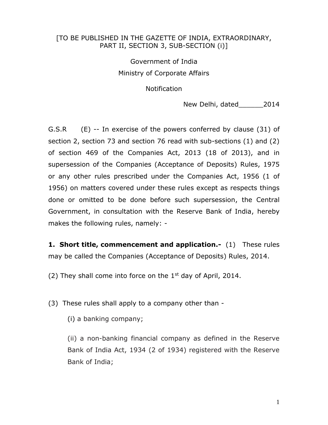#### [TO BE PUBLISHED IN THE GAZETTE OF INDIA, EXTRAORDINARY, PART II, SECTION 3, SUB-SECTION (i)]

# Government of India Ministry of Corporate Affairs

Notification

New Delhi, dated 2014

G.S.R (E) -- In exercise of the powers conferred by clause (31) of section 2, section 73 and section 76 read with sub-sections (1) and (2) of section 469 of the Companies Act, 2013 (18 of 2013), and in supersession of the Companies (Acceptance of Deposits) Rules, 1975 or any other rules prescribed under the Companies Act, 1956 (1 of 1956) on matters covered under these rules except as respects things done or omitted to be done before such supersession, the Central Government, in consultation with the Reserve Bank of India, hereby makes the following rules, namely: -

**1. Short title, commencement and application.-** (1) These rules may be called the Companies (Acceptance of Deposits) Rules, 2014.

(2) They shall come into force on the  $1<sup>st</sup>$  day of April, 2014.

(3) These rules shall apply to a company other than -

(i) a banking company;

(ii) a non-banking financial company as defined in the Reserve Bank of India Act, 1934 (2 of 1934) registered with the Reserve Bank of India;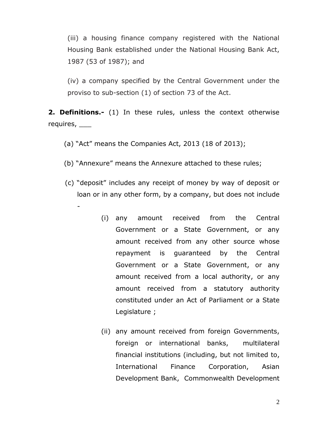(iii) a housing finance company registered with the National Housing Bank established under the National Housing Bank Act, 1987 (53 of 1987); and

(iv) a company specified by the Central Government under the proviso to sub-section (1) of section 73 of the Act.

**2. Definitions.-** (1) In these rules, unless the context otherwise requires, \_\_\_

(a) "Act" means the Companies Act, 2013 (18 of 2013);

-

- (b) "Annexure" means the Annexure attached to these rules;
- (c) "deposit" includes any receipt of money by way of deposit or loan or in any other form, by a company, but does not include
	- (i) any amount received from the Central Government or a State Government, or any amount received from any other source whose repayment is guaranteed by the Central Government or a State Government, or any amount received from a local authority, or any amount received from a statutory authority constituted under an Act of Parliament or a State Legislature ;
	- (ii) any amount received from foreign Governments, foreign or international banks, multilateral financial institutions (including, but not limited to, International Finance Corporation, Asian Development Bank, Commonwealth Development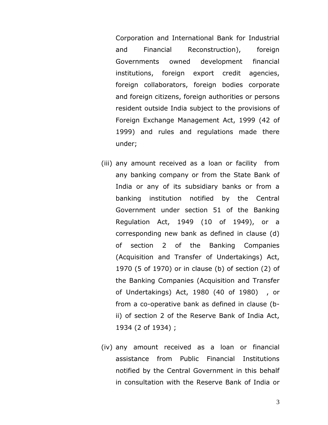Corporation and International Bank for Industrial and Financial Reconstruction), foreign Governments owned development financial institutions, foreign export credit agencies, foreign collaborators, foreign bodies corporate and foreign citizens, foreign authorities or persons resident outside India subject to the provisions of Foreign Exchange Management Act, 1999 (42 of 1999) and rules and regulations made there under;

- (iii) any amount received as a loan or facility from any banking company or from the State Bank of India or any of its subsidiary banks or from a banking institution notified by the Central Government under section 51 of the Banking Regulation Act, 1949 (10 of 1949), or a corresponding new bank as defined in clause (d) of section 2 of the Banking Companies (Acquisition and Transfer of Undertakings) Act, 1970 (5 of 1970) or in clause (b) of section (2) of the Banking Companies (Acquisition and Transfer of Undertakings) Act, 1980 (40 of 1980) , or from a co-operative bank as defined in clause (bii) of section 2 of the Reserve Bank of India Act, 1934 (2 of 1934) ;
- (iv) any amount received as a loan or financial assistance from Public Financial Institutions notified by the Central Government in this behalf in consultation with the Reserve Bank of India or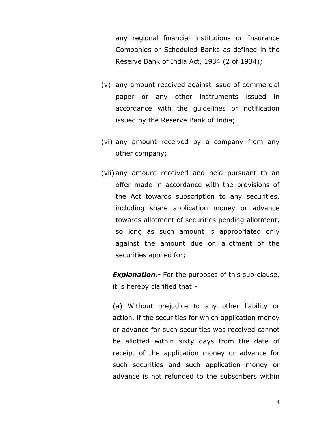any regional financial institutions or Insurance Companies or Scheduled Banks as defined in the Reserve Bank of India Act, 1934 (2 of 1934);

- (v) any amount received against issue of commercial paper or any other instruments issued in accordance with the guidelines or notification issued by the Reserve Bank of India;
- (vi) any amount received by a company from any other company;
- (vii) any amount received and held pursuant to an offer made in accordance with the provisions of the Act towards subscription to any securities, including share application money or advance towards allotment of securities pending allotment, so long as such amount is appropriated only against the amount due on allotment of the securities applied for;

*Explanation.***-** For the purposes of this sub-clause, it is hereby clarified that -

(a) Without prejudice to any other liability or action, if the securities for which application money or advance for such securities was received cannot be allotted within sixty days from the date of receipt of the application money or advance for such securities and such application money or advance is not refunded to the subscribers within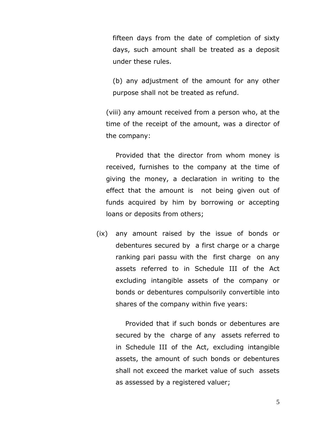fifteen days from the date of completion of sixty days, such amount shall be treated as a deposit under these rules.

(b) any adjustment of the amount for any other purpose shall not be treated as refund.

(viii) any amount received from a person who, at the time of the receipt of the amount, was a director of the company:

Provided that the director from whom money is received, furnishes to the company at the time of giving the money, a declaration in writing to the effect that the amount is not being given out of funds acquired by him by borrowing or accepting loans or deposits from others;

(ix) any amount raised by the issue of bonds or debentures secured by a first charge or a charge ranking pari passu with the first charge on any assets referred to in Schedule III of the Act excluding intangible assets of the company or bonds or debentures compulsorily convertible into shares of the company within five years:

> Provided that if such bonds or debentures are secured by the charge of any assets referred to in Schedule III of the Act, excluding intangible assets, the amount of such bonds or debentures shall not exceed the market value of such assets as assessed by a registered valuer;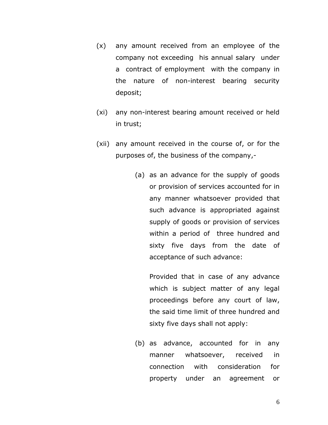- (x) any amount received from an employee of the company not exceeding his annual salary under a contract of employment with the company in the nature of non-interest bearing security deposit;
- (xi) any non-interest bearing amount received or held in trust;
- (xii) any amount received in the course of, or for the purposes of, the business of the company,-
	- (a) as an advance for the supply of goods or provision of services accounted for in any manner whatsoever provided that such advance is appropriated against supply of goods or provision of services within a period of three hundred and sixty five days from the date of acceptance of such advance:

Provided that in case of any advance which is subject matter of any legal proceedings before any court of law, the said time limit of three hundred and sixty five days shall not apply:

(b) as advance, accounted for in any manner whatsoever, received in connection with consideration for property under an agreement or

6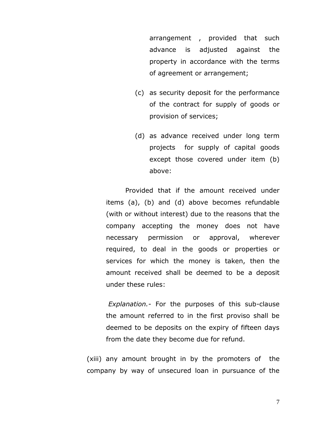arrangement , provided that such advance is adjusted against the property in accordance with the terms of agreement or arrangement;

- (c) as security deposit for the performance of the contract for supply of goods or provision of services;
- (d) as advance received under long term projects for supply of capital goods except those covered under item (b) above:

Provided that if the amount received under items (a), (b) and (d) above becomes refundable (with or without interest) due to the reasons that the company accepting the money does not have necessary permission or approval, wherever required, to deal in the goods or properties or services for which the money is taken, then the amount received shall be deemed to be a deposit under these rules:

*Explanation.-* For the purposes of this sub-clause the amount referred to in the first proviso shall be deemed to be deposits on the expiry of fifteen days from the date they become due for refund.

(xiii) any amount brought in by the promoters of the company by way of unsecured loan in pursuance of the

7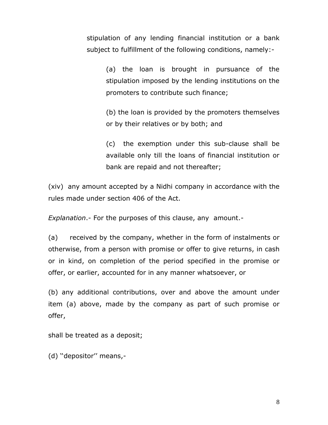stipulation of any lending financial institution or a bank subject to fulfillment of the following conditions, namely:-

> (a) the loan is brought in pursuance of the stipulation imposed by the lending institutions on the promoters to contribute such finance;

> (b) the loan is provided by the promoters themselves or by their relatives or by both; and

> (c) the exemption under this sub-clause shall be available only till the loans of financial institution or bank are repaid and not thereafter;

(xiv) any amount accepted by a Nidhi company in accordance with the rules made under section 406 of the Act.

*Explanation*.- For the purposes of this clause, any amount.-

(a) received by the company, whether in the form of instalments or otherwise, from a person with promise or offer to give returns, in cash or in kind, on completion of the period specified in the promise or offer, or earlier, accounted for in any manner whatsoever, or

(b) any additional contributions, over and above the amount under item (a) above, made by the company as part of such promise or offer,

shall be treated as a deposit;

(d) ''depositor'' means,-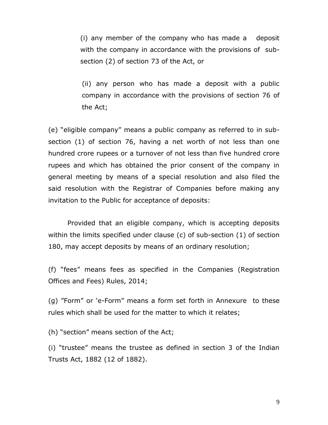(i) any member of the company who has made a deposit with the company in accordance with the provisions of subsection (2) of section 73 of the Act, or

(ii) any person who has made a deposit with a public company in accordance with the provisions of section 76 of the Act;

(e) "eligible company" means a public company as referred to in subsection (1) of section 76, having a net worth of not less than one hundred crore rupees or a turnover of not less than five hundred crore rupees and which has obtained the prior consent of the company in general meeting by means of a special resolution and also filed the said resolution with the Registrar of Companies before making any invitation to the Public for acceptance of deposits:

Provided that an eligible company, which is accepting deposits within the limits specified under clause (c) of sub-section (1) of section 180, may accept deposits by means of an ordinary resolution;

(f) "fees" means fees as specified in the Companies (Registration Offices and Fees) Rules, 2014;

(g) "Form" or 'e-Form" means a form set forth in Annexure to these rules which shall be used for the matter to which it relates;

(h) "section" means section of the Act;

(i) "trustee" means the trustee as defined in section 3 of the Indian Trusts Act, 1882 (12 of 1882).

9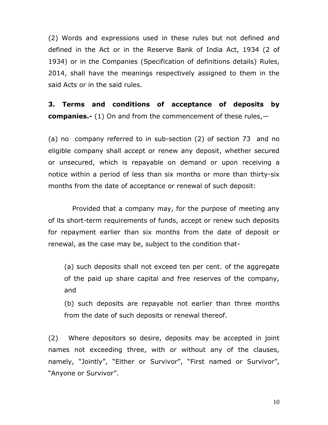(2) Words and expressions used in these rules but not defined and defined in the Act or in the Reserve Bank of India Act, 1934 (2 of 1934) or in the Companies (Specification of definitions details) Rules, 2014, shall have the meanings respectively assigned to them in the said Acts or in the said rules.

**3. Terms and conditions of acceptance of deposits by companies.-** (1) On and from the commencement of these rules,—

(a) no company referred to in sub-section (2) of section 73 and no eligible company shall accept or renew any deposit, whether secured or unsecured, which is repayable on demand or upon receiving a notice within a period of less than six months or more than thirty-six months from the date of acceptance or renewal of such deposit:

Provided that a company may, for the purpose of meeting any of its short-term requirements of funds, accept or renew such deposits for repayment earlier than six months from the date of deposit or renewal, as the case may be, subject to the condition that-

(a) such deposits shall not exceed ten per cent. of the aggregate of the paid up share capital and free reserves of the company, and

(b) such deposits are repayable not earlier than three months from the date of such deposits or renewal thereof.

(2) Where depositors so desire, deposits may be accepted in joint names not exceeding three, with or without any of the clauses, namely, "Jointly", "Either or Survivor", "First named or Survivor", "Anyone or Survivor".

10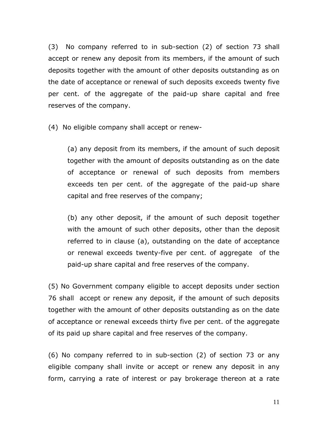(3) No company referred to in sub-section (2) of section 73 shall accept or renew any deposit from its members, if the amount of such deposits together with the amount of other deposits outstanding as on the date of acceptance or renewal of such deposits exceeds twenty five per cent. of the aggregate of the paid-up share capital and free reserves of the company.

(4) No eligible company shall accept or renew-

(a) any deposit from its members, if the amount of such deposit together with the amount of deposits outstanding as on the date of acceptance or renewal of such deposits from members exceeds ten per cent. of the aggregate of the paid-up share capital and free reserves of the company;

(b) any other deposit, if the amount of such deposit together with the amount of such other deposits, other than the deposit referred to in clause (a), outstanding on the date of acceptance or renewal exceeds twenty-five per cent. of aggregate of the paid-up share capital and free reserves of the company.

(5) No Government company eligible to accept deposits under section 76 shall accept or renew any deposit, if the amount of such deposits together with the amount of other deposits outstanding as on the date of acceptance or renewal exceeds thirty five per cent. of the aggregate of its paid up share capital and free reserves of the company.

(6) No company referred to in sub-section (2) of section 73 or any eligible company shall invite or accept or renew any deposit in any form, carrying a rate of interest or pay brokerage thereon at a rate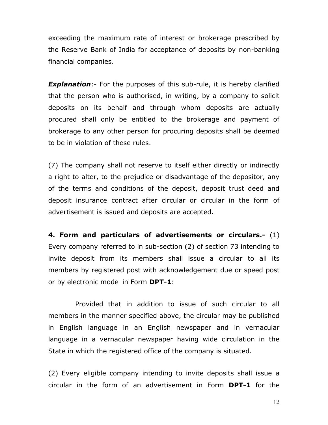exceeding the maximum rate of interest or brokerage prescribed by the Reserve Bank of India for acceptance of deposits by non-banking financial companies.

**Explanation**:- For the purposes of this sub-rule, it is hereby clarified that the person who is authorised, in writing, by a company to solicit deposits on its behalf and through whom deposits are actually procured shall only be entitled to the brokerage and payment of brokerage to any other person for procuring deposits shall be deemed to be in violation of these rules.

(7) The company shall not reserve to itself either directly or indirectly a right to alter, to the prejudice or disadvantage of the depositor, any of the terms and conditions of the deposit, deposit trust deed and deposit insurance contract after circular or circular in the form of advertisement is issued and deposits are accepted.

**4. Form and particulars of advertisements or circulars.-** (1) Every company referred to in sub-section (2) of section 73 intending to invite deposit from its members shall issue a circular to all its members by registered post with acknowledgement due or speed post or by electronic mode in Form **DPT-1**:

 Provided that in addition to issue of such circular to all members in the manner specified above, the circular may be published in English language in an English newspaper and in vernacular language in a vernacular newspaper having wide circulation in the State in which the registered office of the company is situated.

(2) Every eligible company intending to invite deposits shall issue a circular in the form of an advertisement in Form **DPT-1** for the

12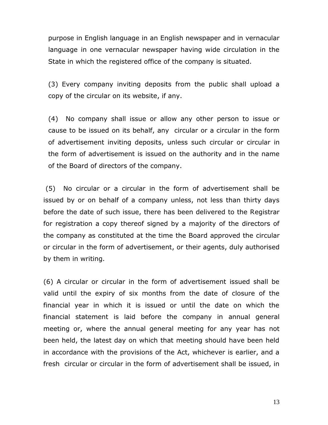purpose in English language in an English newspaper and in vernacular language in one vernacular newspaper having wide circulation in the State in which the registered office of the company is situated.

(3) Every company inviting deposits from the public shall upload a copy of the circular on its website, if any.

(4) No company shall issue or allow any other person to issue or cause to be issued on its behalf, any circular or a circular in the form of advertisement inviting deposits, unless such circular or circular in the form of advertisement is issued on the authority and in the name of the Board of directors of the company.

(5) No circular or a circular in the form of advertisement shall be issued by or on behalf of a company unless, not less than thirty days before the date of such issue, there has been delivered to the Registrar for registration a copy thereof signed by a majority of the directors of the company as constituted at the time the Board approved the circular or circular in the form of advertisement, or their agents, duly authorised by them in writing.

(6) A circular or circular in the form of advertisement issued shall be valid until the expiry of six months from the date of closure of the financial year in which it is issued or until the date on which the financial statement is laid before the company in annual general meeting or, where the annual general meeting for any year has not been held, the latest day on which that meeting should have been held in accordance with the provisions of the Act, whichever is earlier, and a fresh circular or circular in the form of advertisement shall be issued, in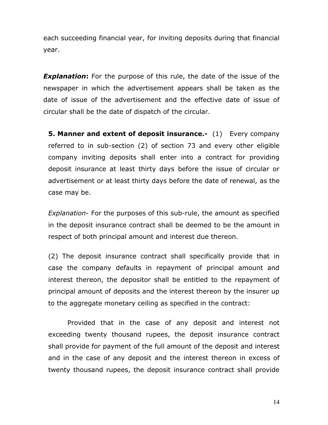each succeeding financial year, for inviting deposits during that financial year.

**Explanation:** For the purpose of this rule, the date of the issue of the newspaper in which the advertisement appears shall be taken as the date of issue of the advertisement and the effective date of issue of circular shall be the date of dispatch of the circular.

**5. Manner and extent of deposit insurance.-** (1) Every company referred to in sub-section (2) of section 73 and every other eligible company inviting deposits shall enter into a contract for providing deposit insurance at least thirty days before the issue of circular or advertisement or at least thirty days before the date of renewal, as the case may be.

*Explanation*- For the purposes of this sub-rule, the amount as specified in the deposit insurance contract shall be deemed to be the amount in respect of both principal amount and interest due thereon.

(2) The deposit insurance contract shall specifically provide that in case the company defaults in repayment of principal amount and interest thereon, the depositor shall be entitled to the repayment of principal amount of deposits and the interest thereon by the insurer up to the aggregate monetary ceiling as specified in the contract:

Provided that in the case of any deposit and interest not exceeding twenty thousand rupees, the deposit insurance contract shall provide for payment of the full amount of the deposit and interest and in the case of any deposit and the interest thereon in excess of twenty thousand rupees, the deposit insurance contract shall provide

14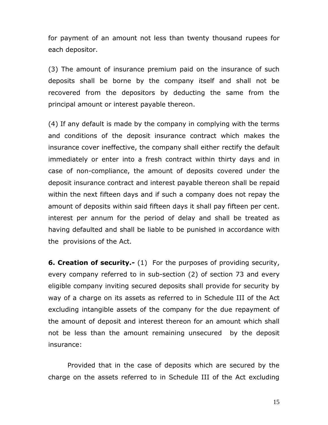for payment of an amount not less than twenty thousand rupees for each depositor.

(3) The amount of insurance premium paid on the insurance of such deposits shall be borne by the company itself and shall not be recovered from the depositors by deducting the same from the principal amount or interest payable thereon.

(4) If any default is made by the company in complying with the terms and conditions of the deposit insurance contract which makes the insurance cover ineffective, the company shall either rectify the default immediately or enter into a fresh contract within thirty days and in case of non-compliance, the amount of deposits covered under the deposit insurance contract and interest payable thereon shall be repaid within the next fifteen days and if such a company does not repay the amount of deposits within said fifteen days it shall pay fifteen per cent. interest per annum for the period of delay and shall be treated as having defaulted and shall be liable to be punished in accordance with the provisions of the Act.

**6. Creation of security.-** (1) For the purposes of providing security, every company referred to in sub-section (2) of section 73 and every eligible company inviting secured deposits shall provide for security by way of a charge on its assets as referred to in Schedule III of the Act excluding intangible assets of the company for the due repayment of the amount of deposit and interest thereon for an amount which shall not be less than the amount remaining unsecured by the deposit insurance:

Provided that in the case of deposits which are secured by the charge on the assets referred to in Schedule III of the Act excluding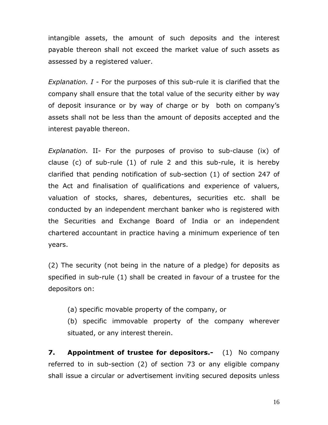intangible assets, the amount of such deposits and the interest payable thereon shall not exceed the market value of such assets as assessed by a registered valuer.

*Explanation. I -* For the purposes of this sub-rule it is clarified that the company shall ensure that the total value of the security either by way of deposit insurance or by way of charge or by both on company's assets shall not be less than the amount of deposits accepted and the interest payable thereon.

*Explanation.* II- For the purposes of proviso to sub-clause (ix) of clause (c) of sub-rule (1) of rule 2 and this sub-rule, it is hereby clarified that pending notification of sub-section (1) of section 247 of the Act and finalisation of qualifications and experience of valuers, valuation of stocks, shares, debentures, securities etc. shall be conducted by an independent merchant banker who is registered with the Securities and Exchange Board of India or an independent chartered accountant in practice having a minimum experience of ten years.

(2) The security (not being in the nature of a pledge) for deposits as specified in sub-rule (1) shall be created in favour of a trustee for the depositors on:

(a) specific movable property of the company, or

(b) specific immovable property of the company wherever situated, or any interest therein.

**7. Appointment of trustee for depositors.-** (1) No company referred to in sub-section (2) of section 73 or any eligible company shall issue a circular or advertisement inviting secured deposits unless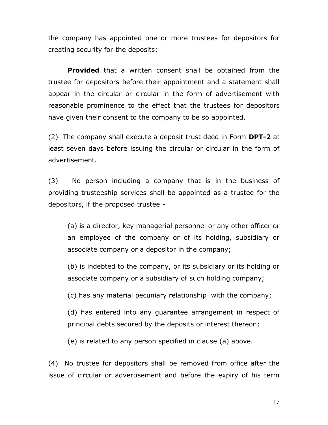the company has appointed one or more trustees for depositors for creating security for the deposits:

**Provided** that a written consent shall be obtained from the trustee for depositors before their appointment and a statement shall appear in the circular or circular in the form of advertisement with reasonable prominence to the effect that the trustees for depositors have given their consent to the company to be so appointed.

(2) The company shall execute a deposit trust deed in Form **DPT-2** at least seven days before issuing the circular or circular in the form of advertisement.

(3)No person including a company that is in the business of providing trusteeship services shall be appointed as a trustee for the depositors, if the proposed trustee -

(a) is a director, key managerial personnel or any other officer or an employee of the company or of its holding, subsidiary or associate company or a depositor in the company;

(b) is indebted to the company, or its subsidiary or its holding or associate company or a subsidiary of such holding company;

(c) has any material pecuniary relationship with the company;

(d) has entered into any guarantee arrangement in respect of principal debts secured by the deposits or interest thereon;

(e) is related to any person specified in clause (a) above.

(4) No trustee for depositors shall be removed from office after the issue of circular or advertisement and before the expiry of his term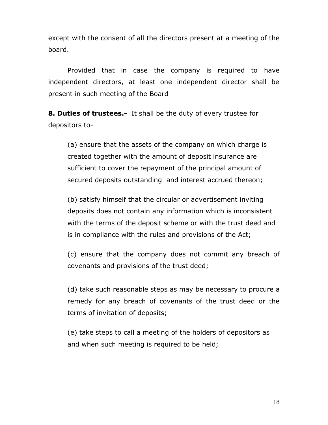except with the consent of all the directors present at a meeting of the board.

Provided that in case the company is required to have independent directors, at least one independent director shall be present in such meeting of the Board

**8. Duties of trustees.-** It shall be the duty of every trustee for depositors to-

(a) ensure that the assets of the company on which charge is created together with the amount of deposit insurance are sufficient to cover the repayment of the principal amount of secured deposits outstanding and interest accrued thereon;

(b) satisfy himself that the circular or advertisement inviting deposits does not contain any information which is inconsistent with the terms of the deposit scheme or with the trust deed and is in compliance with the rules and provisions of the Act;

(c) ensure that the company does not commit any breach of covenants and provisions of the trust deed;

(d) take such reasonable steps as may be necessary to procure a remedy for any breach of covenants of the trust deed or the terms of invitation of deposits;

(e) take steps to call a meeting of the holders of depositors as and when such meeting is required to be held;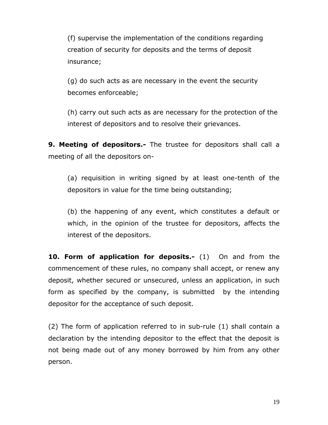(f) supervise the implementation of the conditions regarding creation of security for deposits and the terms of deposit insurance;

(g) do such acts as are necessary in the event the security becomes enforceable;

(h) carry out such acts as are necessary for the protection of the interest of depositors and to resolve their grievances.

**9. Meeting of depositors.-** The trustee for depositors shall call a meeting of all the depositors on-

(a) requisition in writing signed by at least one-tenth of the depositors in value for the time being outstanding;

(b) the happening of any event, which constitutes a default or which, in the opinion of the trustee for depositors, affects the interest of the depositors.

**10. Form of application for deposits.-** (1) On and from the commencement of these rules, no company shall accept, or renew any deposit, whether secured or unsecured, unless an application, in such form as specified by the company, is submitted by the intending depositor for the acceptance of such deposit.

(2) The form of application referred to in sub-rule (1) shall contain a declaration by the intending depositor to the effect that the deposit is not being made out of any money borrowed by him from any other person.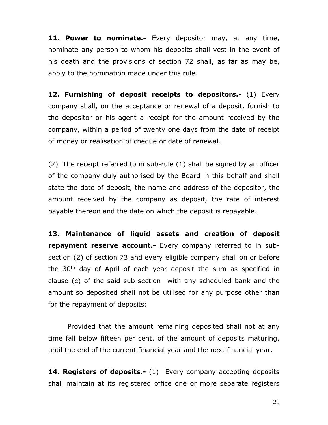**11. Power to nominate.-** Every depositor may, at any time, nominate any person to whom his deposits shall vest in the event of his death and the provisions of section 72 shall, as far as may be, apply to the nomination made under this rule.

**12. Furnishing of deposit receipts to depositors.-** (1) Every company shall, on the acceptance or renewal of a deposit, furnish to the depositor or his agent a receipt for the amount received by the company, within a period of twenty one days from the date of receipt of money or realisation of cheque or date of renewal.

(2) The receipt referred to in sub-rule (1) shall be signed by an officer of the company duly authorised by the Board in this behalf and shall state the date of deposit, the name and address of the depositor, the amount received by the company as deposit, the rate of interest payable thereon and the date on which the deposit is repayable.

**13. Maintenance of liquid assets and creation of deposit repayment reserve account.-** Every company referred to in subsection (2) of section 73 and every eligible company shall on or before the 30<sup>th</sup> day of April of each year deposit the sum as specified in clause (c) of the said sub-section with any scheduled bank and the amount so deposited shall not be utilised for any purpose other than for the repayment of deposits:

Provided that the amount remaining deposited shall not at any time fall below fifteen per cent. of the amount of deposits maturing, until the end of the current financial year and the next financial year.

**14. Registers of deposits.-** (1) Every company accepting deposits shall maintain at its registered office one or more separate registers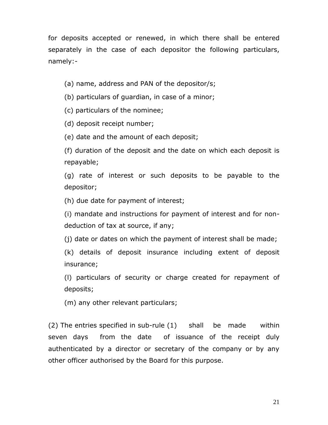for deposits accepted or renewed, in which there shall be entered separately in the case of each depositor the following particulars, namely:-

(a) name, address and PAN of the depositor/s;

(b) particulars of guardian, in case of a minor;

(c) particulars of the nominee;

(d) deposit receipt number;

(e) date and the amount of each deposit;

(f) duration of the deposit and the date on which each deposit is repayable;

(g) rate of interest or such deposits to be payable to the depositor;

(h) due date for payment of interest;

(i) mandate and instructions for payment of interest and for nondeduction of tax at source, if any;

(j) date or dates on which the payment of interest shall be made;

(k) details of deposit insurance including extent of deposit insurance;

(l) particulars of security or charge created for repayment of deposits;

(m) any other relevant particulars;

(2) The entries specified in sub-rule (1) shall be made within seven days from the date of issuance of the receipt duly authenticated by a director or secretary of the company or by any other officer authorised by the Board for this purpose.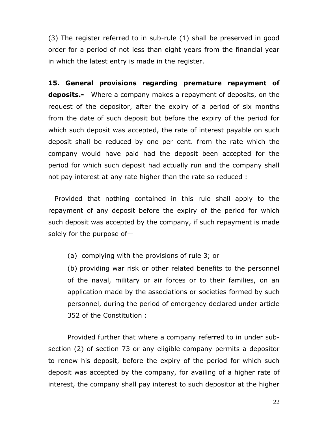(3) The register referred to in sub-rule (1) shall be preserved in good order for a period of not less than eight years from the financial year in which the latest entry is made in the register.

**15. General provisions regarding premature repayment of deposits.-** Where a company makes a repayment of deposits, on the request of the depositor, after the expiry of a period of six months from the date of such deposit but before the expiry of the period for which such deposit was accepted, the rate of interest payable on such deposit shall be reduced by one per cent. from the rate which the company would have paid had the deposit been accepted for the period for which such deposit had actually run and the company shall not pay interest at any rate higher than the rate so reduced :

Provided that nothing contained in this rule shall apply to the repayment of any deposit before the expiry of the period for which such deposit was accepted by the company, if such repayment is made solely for the purpose of—

(a) complying with the provisions of rule 3; or

(b) providing war risk or other related benefits to the personnel of the naval, military or air forces or to their families, on an application made by the associations or societies formed by such personnel, during the period of emergency declared under article 352 of the Constitution :

Provided further that where a company referred to in under subsection (2) of section 73 or any eligible company permits a depositor to renew his deposit, before the expiry of the period for which such deposit was accepted by the company, for availing of a higher rate of interest, the company shall pay interest to such depositor at the higher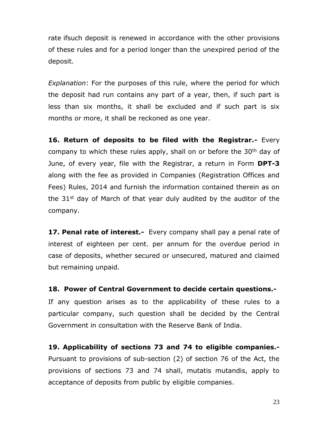rate ifsuch deposit is renewed in accordance with the other provisions of these rules and for a period longer than the unexpired period of the deposit.

*Explanation*: For the purposes of this rule, where the period for which the deposit had run contains any part of a year, then, if such part is less than six months, it shall be excluded and if such part is six months or more, it shall be reckoned as one year.

**16. Return of deposits to be filed with the Registrar.-** Every company to which these rules apply, shall on or before the  $30<sup>th</sup>$  day of June, of every year, file with the Registrar, a return in Form **DPT-3** along with the fee as provided in Companies (Registration Offices and Fees) Rules, 2014 and furnish the information contained therein as on the 31<sup>st</sup> day of March of that year duly audited by the auditor of the company.

**17. Penal rate of interest.-** Every company shall pay a penal rate of interest of eighteen per cent. per annum for the overdue period in case of deposits, whether secured or unsecured, matured and claimed but remaining unpaid.

**18. Power of Central Government to decide certain questions.-** If any question arises as to the applicability of these rules to a particular company, such question shall be decided by the Central Government in consultation with the Reserve Bank of India.

**19. Applicability of sections 73 and 74 to eligible companies.-** Pursuant to provisions of sub-section (2) of section 76 of the Act, the provisions of sections 73 and 74 shall, mutatis mutandis, apply to acceptance of deposits from public by eligible companies.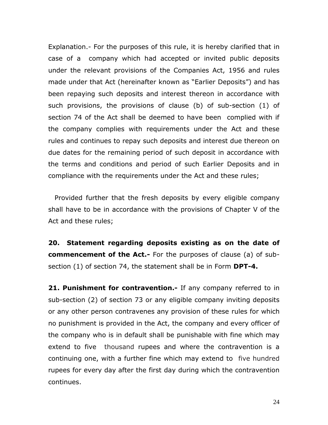Explanation.- For the purposes of this rule, it is hereby clarified that in case of a company which had accepted or invited public deposits under the relevant provisions of the Companies Act, 1956 and rules made under that Act (hereinafter known as "Earlier Deposits") and has been repaying such deposits and interest thereon in accordance with such provisions, the provisions of clause (b) of sub-section (1) of section 74 of the Act shall be deemed to have been complied with if the company complies with requirements under the Act and these rules and continues to repay such deposits and interest due thereon on due dates for the remaining period of such deposit in accordance with the terms and conditions and period of such Earlier Deposits and in compliance with the requirements under the Act and these rules;

Provided further that the fresh deposits by every eligible company shall have to be in accordance with the provisions of Chapter V of the Act and these rules;

**20. Statement regarding deposits existing as on the date of commencement of the Act.-** For the purposes of clause (a) of subsection (1) of section 74, the statement shall be in Form **DPT-4.** 

**21. Punishment for contravention.-** If any company referred to in sub-section (2) of section 73 or any eligible company inviting deposits or any other person contravenes any provision of these rules for which no punishment is provided in the Act, the company and every officer of the company who is in default shall be punishable with fine which may extend to five thousand rupees and where the contravention is a continuing one, with a further fine which may extend to five hundred rupees for every day after the first day during which the contravention continues.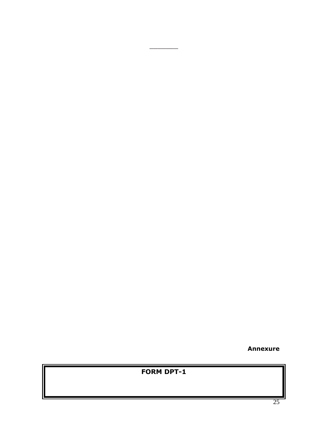**Annexure** 

| <b>FORM DPT-1</b> |  |
|-------------------|--|
|                   |  |
|                   |  |
|                   |  |
|                   |  |

 $\overline{\phantom{a}}$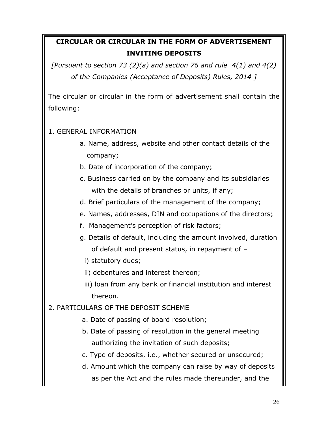# **CIRCULAR OR CIRCULAR IN THE FORM OF ADVERTISEMENT INVITING DEPOSITS**

*[Pursuant to section 73 (2)(a) and section 76 and rule 4(1) and 4(2) of the Companies (Acceptance of Deposits) Rules, 2014 ]*

The circular or circular in the form of advertisement shall contain the following:

#### 1. GENERAL INFORMATION

- a. Name, address, website and other contact details of the company;
- b. Date of incorporation of the company;
- c. Business carried on by the company and its subsidiaries with the details of branches or units, if any;
- d. Brief particulars of the management of the company;
- e. Names, addresses, DIN and occupations of the directors;
- f. Management's perception of risk factors;
- g. Details of default, including the amount involved, duration of default and present status, in repayment of –
	- i) statutory dues;
	- ii) debentures and interest thereon;
	- iii) loan from any bank or financial institution and interest thereon.
- 2. PARTICULARS OF THE DEPOSIT SCHEME
	- a. Date of passing of board resolution;
	- b. Date of passing of resolution in the general meeting authorizing the invitation of such deposits;
	- c. Type of deposits, i.e., whether secured or unsecured;
	- d. Amount which the company can raise by way of deposits as per the Act and the rules made thereunder, and the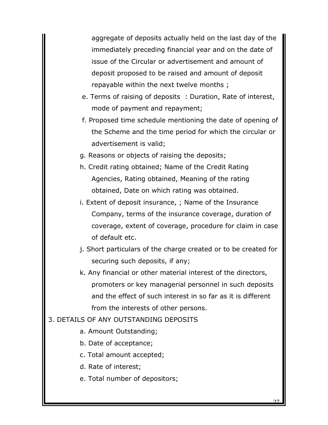aggregate of deposits actually held on the last day of the immediately preceding financial year and on the date of issue of the Circular or advertisement and amount of deposit proposed to be raised and amount of deposit repayable within the next twelve months ;

- e. Terms of raising of deposits : Duration, Rate of interest, mode of payment and repayment;
- f. Proposed time schedule mentioning the date of opening of the Scheme and the time period for which the circular or advertisement is valid;
- g. Reasons or objects of raising the deposits;
- h. Credit rating obtained; Name of the Credit Rating Agencies, Rating obtained, Meaning of the rating obtained, Date on which rating was obtained.
- i. Extent of deposit insurance, ; Name of the Insurance Company, terms of the insurance coverage, duration of coverage, extent of coverage, procedure for claim in case of default etc.
- j. Short particulars of the charge created or to be created for securing such deposits, if any;
- k. Any financial or other material interest of the directors, promoters or key managerial personnel in such deposits and the effect of such interest in so far as it is different from the interests of other persons.

#### 3. DETAILS OF ANY OUTSTANDING DEPOSITS

- a. Amount Outstanding;
- b. Date of acceptance;
- c. Total amount accepted;
- d. Rate of interest;
- e. Total number of depositors;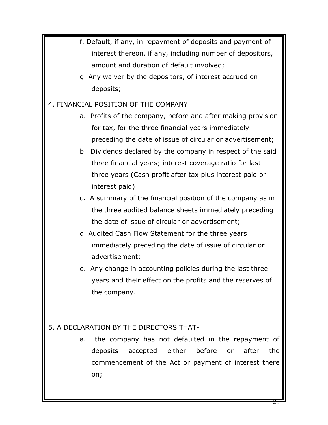f. Default, if any, in repayment of deposits and payment of interest thereon, if any, including number of depositors, amount and duration of default involved; g. Any waiver by the depositors, of interest accrued on deposits; 4. FINANCIAL POSITION OF THE COMPANY a. Profits of the company, before and after making provision for tax, for the three financial years immediately preceding the date of issue of circular or advertisement; b. Dividends declared by the company in respect of the said three financial years; interest coverage ratio for last three years (Cash profit after tax plus interest paid or interest paid) c. A summary of the financial position of the company as in the three audited balance sheets immediately preceding the date of issue of circular or advertisement; d. Audited Cash Flow Statement for the three years immediately preceding the date of issue of circular or advertisement; e. Any change in accounting policies during the last three years and their effect on the profits and the reserves of the company. 5. A DECLARATION BY THE DIRECTORS THAT a. the company has not defaulted in the repayment of deposits accepted either before or after the commencement of the Act or payment of interest there on;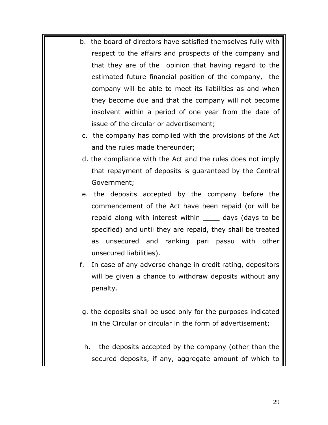- b. the board of directors have satisfied themselves fully with respect to the affairs and prospects of the company and that they are of the opinion that having regard to the estimated future financial position of the company, the company will be able to meet its liabilities as and when they become due and that the company will not become insolvent within a period of one year from the date of issue of the circular or advertisement;
	- c. the company has complied with the provisions of the Act and the rules made thereunder;
	- d. the compliance with the Act and the rules does not imply that repayment of deposits is guaranteed by the Central Government;
	- e. the deposits accepted by the company before the commencement of the Act have been repaid (or will be repaid along with interest within \_\_\_\_ days (days to be specified) and until they are repaid, they shall be treated as unsecured and ranking pari passu with other unsecured liabilities).
- f. In case of any adverse change in credit rating, depositors will be given a chance to withdraw deposits without any penalty.
- g. the deposits shall be used only for the purposes indicated in the Circular or circular in the form of advertisement;
- h. the deposits accepted by the company (other than the secured deposits, if any, aggregate amount of which to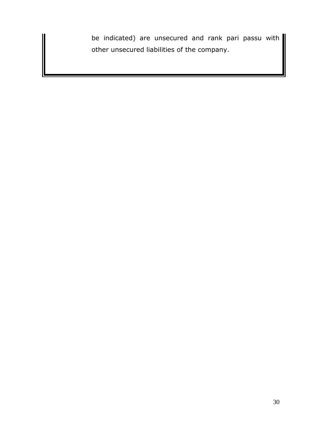be indicated) are unsecured and rank pari passu with other unsecured liabilities of the company.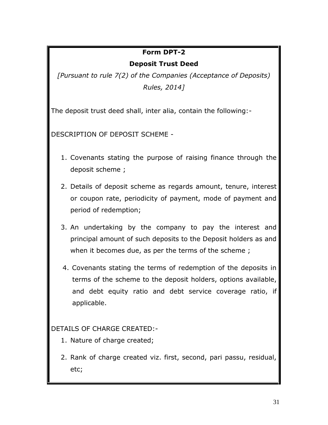#### **Form DPT-2**

#### **Deposit Trust Deed**

*[Pursuant to rule 7(2) of the Companies (Acceptance of Deposits) Rules, 2014]*

The deposit trust deed shall, inter alia, contain the following:-

DESCRIPTION OF DEPOSIT SCHEME -

- 1. Covenants stating the purpose of raising finance through the deposit scheme ;
- 2. Details of deposit scheme as regards amount, tenure, interest or coupon rate, periodicity of payment, mode of payment and period of redemption;
- 3. An undertaking by the company to pay the interest and principal amount of such deposits to the Deposit holders as and when it becomes due, as per the terms of the scheme ;
- 4. Covenants stating the terms of redemption of the deposits in terms of the scheme to the deposit holders, options available, and debt equity ratio and debt service coverage ratio, if applicable.

DETAILS OF CHARGE CREATED:-

- 1. Nature of charge created;
- 2. Rank of charge created viz. first, second, pari passu, residual, etc;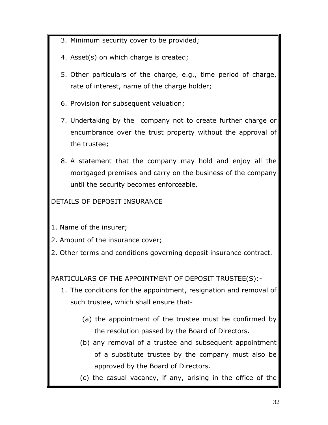- 3. Minimum security cover to be provided;
- 4. Asset(s) on which charge is created;
- 5. Other particulars of the charge, e.g., time period of charge, rate of interest, name of the charge holder;
- 6. Provision for subsequent valuation;
- 7. Undertaking by the company not to create further charge or encumbrance over the trust property without the approval of the trustee;
- 8. A statement that the company may hold and enjoy all the mortgaged premises and carry on the business of the company until the security becomes enforceable.

DETAILS OF DEPOSIT INSURANCE

- 1. Name of the insurer;
- 2. Amount of the insurance cover;
- 2. Other terms and conditions governing deposit insurance contract.

PARTICULARS OF THE APPOINTMENT OF DEPOSIT TRUSTEE(S):-

- 1. The conditions for the appointment, resignation and removal of such trustee, which shall ensure that-
	- (a) the appointment of the trustee must be confirmed by the resolution passed by the Board of Directors.
	- (b) any removal of a trustee and subsequent appointment of a substitute trustee by the company must also be approved by the Board of Directors.
	- (c) the casual vacancy, if any, arising in the office of the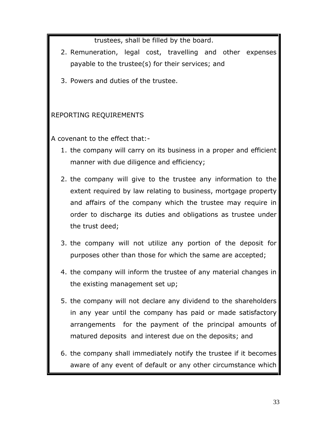trustees, shall be filled by the board.

- 2. Remuneration, legal cost, travelling and other expenses payable to the trustee(s) for their services; and
- 3. Powers and duties of the trustee.

## REPORTING REQUIREMENTS

A covenant to the effect that:-

- 1. the company will carry on its business in a proper and efficient manner with due diligence and efficiency;
- 2. the company will give to the trustee any information to the extent required by law relating to business, mortgage property and affairs of the company which the trustee may require in order to discharge its duties and obligations as trustee under the trust deed;
- 3. the company will not utilize any portion of the deposit for purposes other than those for which the same are accepted;
- 4. the company will inform the trustee of any material changes in the existing management set up;
- 5. the company will not declare any dividend to the shareholders in any year until the company has paid or made satisfactory arrangements for the payment of the principal amounts of matured deposits and interest due on the deposits; and
- 6. the company shall immediately notify the trustee if it becomes aware of any event of default or any other circumstance which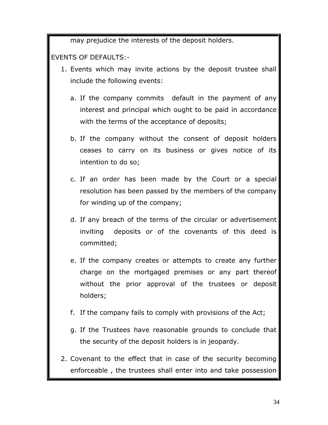may prejudice the interests of the deposit holders.

EVENTS OF DEFAULTS:-

- 1. Events which may invite actions by the deposit trustee shall include the following events:
	- a. If the company commits default in the payment of any interest and principal which ought to be paid in accordance with the terms of the acceptance of deposits;
	- b. If the company without the consent of deposit holders ceases to carry on its business or gives notice of its intention to do so;
	- c. If an order has been made by the Court or a special resolution has been passed by the members of the company for winding up of the company;
	- d. If any breach of the terms of the circular or advertisement inviting deposits or of the covenants of this deed is committed;
	- e. If the company creates or attempts to create any further charge on the mortgaged premises or any part thereof without the prior approval of the trustees or deposit holders;
	- f. If the company fails to comply with provisions of the Act;
	- g. If the Trustees have reasonable grounds to conclude that the security of the deposit holders is in jeopardy.
- 2. Covenant to the effect that in case of the security becoming enforceable , the trustees shall enter into and take possession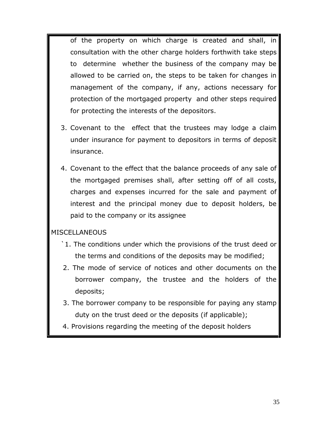of the property on which charge is created and shall, in consultation with the other charge holders forthwith take steps to determine whether the business of the company may be allowed to be carried on, the steps to be taken for changes in management of the company, if any, actions necessary for protection of the mortgaged property and other steps required for protecting the interests of the depositors.

- 3. Covenant to the effect that the trustees may lodge a claim under insurance for payment to depositors in terms of deposit insurance.
- 4. Covenant to the effect that the balance proceeds of any sale of the mortgaged premises shall, after setting off of all costs, charges and expenses incurred for the sale and payment of interest and the principal money due to deposit holders, be paid to the company or its assignee

#### MISCELLANEOUS

- `1. The conditions under which the provisions of the trust deed or the terms and conditions of the deposits may be modified;
- 2. The mode of service of notices and other documents on the borrower company, the trustee and the holders of the deposits;
- 3. The borrower company to be responsible for paying any stamp duty on the trust deed or the deposits (if applicable);
- 4. Provisions regarding the meeting of the deposit holders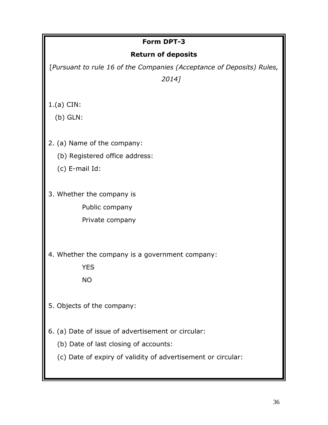# **Form DPT-3 Return of deposits** [*Pursuant to rule 16 of the Companies (Acceptance of Deposits) Rules, 2014]* 1.(a) CIN: (b) GLN: 2. (a) Name of the company: (b) Registered office address: (c) E-mail Id: 3. Whether the company is Public company Private company 4. Whether the company is a government company: **YES**  NO 5. Objects of the company: 6. (a) Date of issue of advertisement or circular: (b) Date of last closing of accounts:

(c) Date of expiry of validity of advertisement or circular: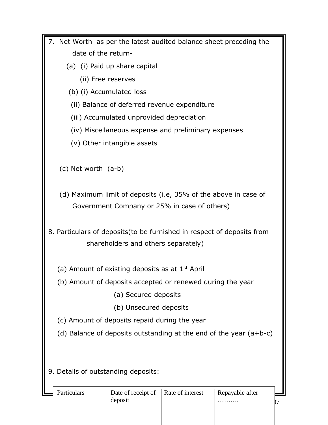| 7. Net Worth as per the latest audited balance sheet preceding the     |                                           |                                                                 |                                                                      |
|------------------------------------------------------------------------|-------------------------------------------|-----------------------------------------------------------------|----------------------------------------------------------------------|
| date of the return-                                                    |                                           |                                                                 |                                                                      |
| (a) (i) Paid up share capital                                          |                                           |                                                                 |                                                                      |
| (ii) Free reserves                                                     |                                           |                                                                 |                                                                      |
| (b) (i) Accumulated loss                                               |                                           |                                                                 |                                                                      |
|                                                                        |                                           | (ii) Balance of deferred revenue expenditure                    |                                                                      |
|                                                                        | (iii) Accumulated unprovided depreciation |                                                                 |                                                                      |
|                                                                        |                                           | (iv) Miscellaneous expense and preliminary expenses             |                                                                      |
|                                                                        | (v) Other intangible assets               |                                                                 |                                                                      |
|                                                                        |                                           |                                                                 |                                                                      |
| (c) Net worth (a-b)                                                    |                                           |                                                                 |                                                                      |
|                                                                        |                                           |                                                                 |                                                                      |
|                                                                        |                                           | (d) Maximum limit of deposits (i.e, 35% of the above in case of |                                                                      |
|                                                                        |                                           | Government Company or 25% in case of others)                    |                                                                      |
|                                                                        |                                           |                                                                 |                                                                      |
| 8. Particulars of deposits(to be furnished in respect of deposits from |                                           |                                                                 |                                                                      |
|                                                                        | shareholders and others separately)       |                                                                 |                                                                      |
|                                                                        |                                           |                                                                 |                                                                      |
| (a) Amount of existing deposits as at $1st$ April                      |                                           |                                                                 |                                                                      |
| (b) Amount of deposits accepted or renewed during the year             |                                           |                                                                 |                                                                      |
|                                                                        | (a) Secured deposits                      |                                                                 |                                                                      |
|                                                                        | (b) Unsecured deposits                    |                                                                 |                                                                      |
| (c) Amount of deposits repaid during the year                          |                                           |                                                                 |                                                                      |
|                                                                        |                                           |                                                                 | (d) Balance of deposits outstanding at the end of the year $(a+b-c)$ |
|                                                                        |                                           |                                                                 |                                                                      |
|                                                                        |                                           |                                                                 |                                                                      |
| 9. Details of outstanding deposits:                                    |                                           |                                                                 |                                                                      |
|                                                                        |                                           |                                                                 |                                                                      |
| Particulars                                                            | Date of receipt of                        | Rate of interest                                                | Repayable after                                                      |

| Particulars | Date of receipt of   Rate of interest<br>deposit | Repayable after |  |
|-------------|--------------------------------------------------|-----------------|--|
|             |                                                  |                 |  |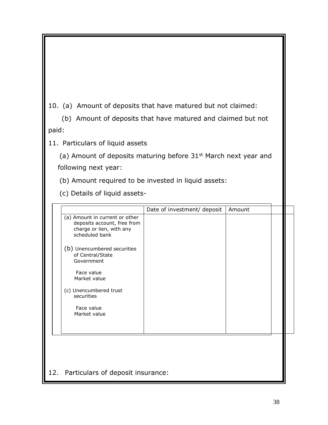10. (a) Amount of deposits that have matured but not claimed:

 (b) Amount of deposits that have matured and claimed but not paid:

11. Particulars of liquid assets

(a) Amount of deposits maturing before 31<sup>st</sup> March next year and following next year:

(b) Amount required to be invested in liquid assets:

(c) Details of liquid assets-

12. Particulars of deposit insurance: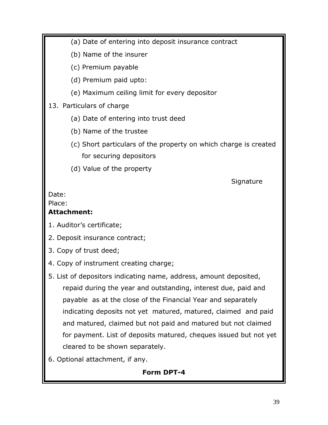(a) Date of entering into deposit insurance contract

(b) Name of the insurer

(c) Premium payable

(d) Premium paid upto:

(e) Maximum ceiling limit for every depositor

## 13. Particulars of charge

- (a) Date of entering into trust deed
- (b) Name of the trustee
- (c) Short particulars of the property on which charge is created for securing depositors
- (d) Value of the property

**Signature** 

#### Date:

#### Place:

### **Attachment:**

- 1. Auditor's certificate;
- 2. Deposit insurance contract;
- 3. Copy of trust deed;
- 4. Copy of instrument creating charge;
- 5. List of depositors indicating name, address, amount deposited, repaid during the year and outstanding, interest due, paid and payable as at the close of the Financial Year and separately indicating deposits not yet matured, matured, claimed and paid and matured, claimed but not paid and matured but not claimed for payment. List of deposits matured, cheques issued but not yet cleared to be shown separately.
- 6. Optional attachment, if any.

# **Form DPT-4**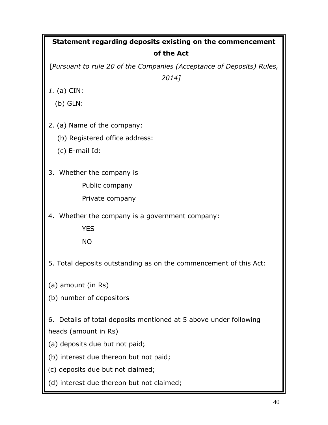| Statement regarding deposits existing on the commencement             |
|-----------------------------------------------------------------------|
| of the Act                                                            |
| [Pursuant to rule 20 of the Companies (Acceptance of Deposits) Rules, |
| 2014]                                                                 |
| 1. (a) CIN:                                                           |
| $(b)$ GLN:                                                            |
| 2. (a) Name of the company:                                           |
|                                                                       |
| (b) Registered office address:                                        |
| $(c)$ E-mail Id:                                                      |
| 3. Whether the company is                                             |
| Public company                                                        |
| Private company                                                       |
| 4. Whether the company is a government company:                       |
| <b>YES</b>                                                            |
| <b>NO</b>                                                             |
|                                                                       |
| 5. Total deposits outstanding as on the commencement of this Act:     |
| (a) amount (in Rs)                                                    |
| (b) number of depositors                                              |
|                                                                       |
| 6. Details of total deposits mentioned at 5 above under following     |
| heads (amount in Rs)                                                  |
| (a) deposits due but not paid;                                        |
| (b) interest due thereon but not paid;                                |
| (c) deposits due but not claimed;                                     |
| (d) interest due thereon but not claimed;                             |